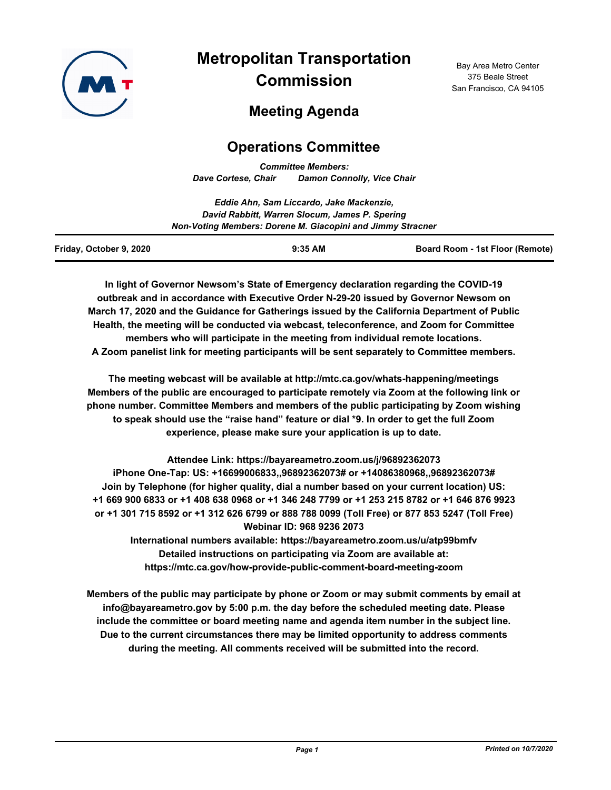

# **Metropolitan Transportation Commission**

Bay Area Metro Center 375 Beale Street San Francisco, CA 94105

# **Meeting Agenda**

# **Operations Committee**

*Committee Members: Dave Cortese, Chair Damon Connolly, Vice Chair*

|                         | Eddie Ahn, Sam Liccardo, Jake Mackenzie,                   |                                        |  |
|-------------------------|------------------------------------------------------------|----------------------------------------|--|
|                         | David Rabbitt, Warren Slocum, James P. Spering             |                                        |  |
|                         | Non-Voting Members: Dorene M. Giacopini and Jimmy Stracner |                                        |  |
| Friday, October 9, 2020 | $9:35$ AM                                                  | <b>Board Room - 1st Floor (Remote)</b> |  |

**In light of Governor Newsom's State of Emergency declaration regarding the COVID-19 outbreak and in accordance with Executive Order N-29-20 issued by Governor Newsom on March 17, 2020 and the Guidance for Gatherings issued by the California Department of Public Health, the meeting will be conducted via webcast, teleconference, and Zoom for Committee members who will participate in the meeting from individual remote locations. A Zoom panelist link for meeting participants will be sent separately to Committee members.**

**The meeting webcast will be available at http://mtc.ca.gov/whats-happening/meetings Members of the public are encouraged to participate remotely via Zoom at the following link or phone number. Committee Members and members of the public participating by Zoom wishing to speak should use the "raise hand" feature or dial \*9. In order to get the full Zoom experience, please make sure your application is up to date.**

**Attendee Link: https://bayareametro.zoom.us/j/96892362073**

**iPhone One-Tap: US: +16699006833,,96892362073# or +14086380968,,96892362073# Join by Telephone (for higher quality, dial a number based on your current location) US: +1 669 900 6833 or +1 408 638 0968 or +1 346 248 7799 or +1 253 215 8782 or +1 646 876 9923 or +1 301 715 8592 or +1 312 626 6799 or 888 788 0099 (Toll Free) or 877 853 5247 (Toll Free) Webinar ID: 968 9236 2073**

**International numbers available: https://bayareametro.zoom.us/u/atp99bmfv Detailed instructions on participating via Zoom are available at: https://mtc.ca.gov/how-provide-public-comment-board-meeting-zoom**

**Members of the public may participate by phone or Zoom or may submit comments by email at info@bayareametro.gov by 5:00 p.m. the day before the scheduled meeting date. Please include the committee or board meeting name and agenda item number in the subject line. Due to the current circumstances there may be limited opportunity to address comments during the meeting. All comments received will be submitted into the record.**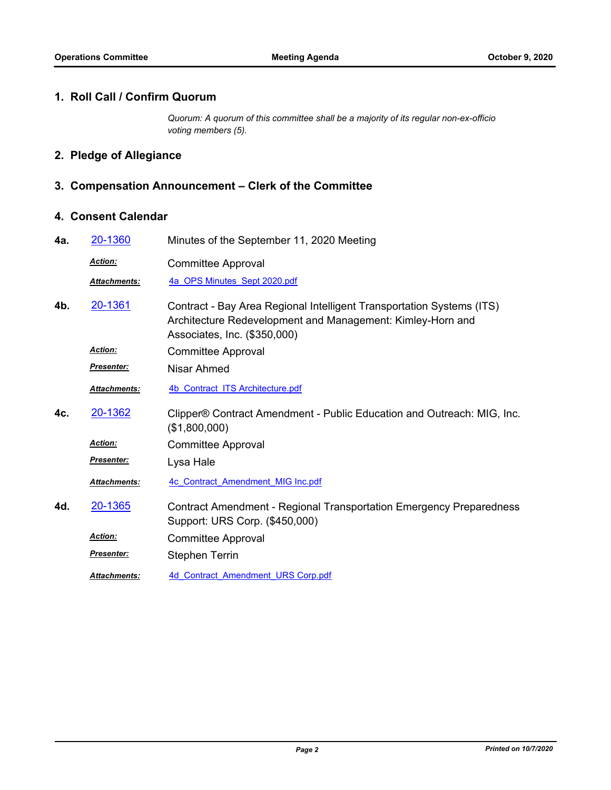#### **1. Roll Call / Confirm Quorum**

*Quorum: A quorum of this committee shall be a majority of its regular non-ex-officio voting members (5).*

# **2. Pledge of Allegiance**

## **3. Compensation Announcement – Clerk of the Committee**

### **4. Consent Calendar**

| 4a. | 20-1360             | Minutes of the September 11, 2020 Meeting                                                                                                                           |
|-----|---------------------|---------------------------------------------------------------------------------------------------------------------------------------------------------------------|
|     | Action:             | <b>Committee Approval</b>                                                                                                                                           |
|     | <b>Attachments:</b> | 4a OPS Minutes Sept 2020.pdf                                                                                                                                        |
| 4b. | 20-1361             | Contract - Bay Area Regional Intelligent Transportation Systems (ITS)<br>Architecture Redevelopment and Management: Kimley-Horn and<br>Associates, Inc. (\$350,000) |
|     | Action:             | <b>Committee Approval</b>                                                                                                                                           |
|     | Presenter:          | Nisar Ahmed                                                                                                                                                         |
|     | Attachments:        | 4b Contract ITS Architecture.pdf                                                                                                                                    |
| 4c. | 20-1362             | Clipper® Contract Amendment - Public Education and Outreach: MIG, Inc.<br>(\$1,800,000)                                                                             |
|     | <b>Action:</b>      | <b>Committee Approval</b>                                                                                                                                           |
|     | <b>Presenter:</b>   | Lysa Hale                                                                                                                                                           |
|     | <b>Attachments:</b> | 4c Contract Amendment MIG Inc.pdf                                                                                                                                   |
| 4d. | 20-1365             | <b>Contract Amendment - Regional Transportation Emergency Preparedness</b><br>Support: URS Corp. (\$450,000)                                                        |
|     | <b>Action:</b>      | <b>Committee Approval</b>                                                                                                                                           |
|     | Presenter:          | <b>Stephen Terrin</b>                                                                                                                                               |
|     | <b>Attachments:</b> | 4d Contract Amendment URS Corp.pdf                                                                                                                                  |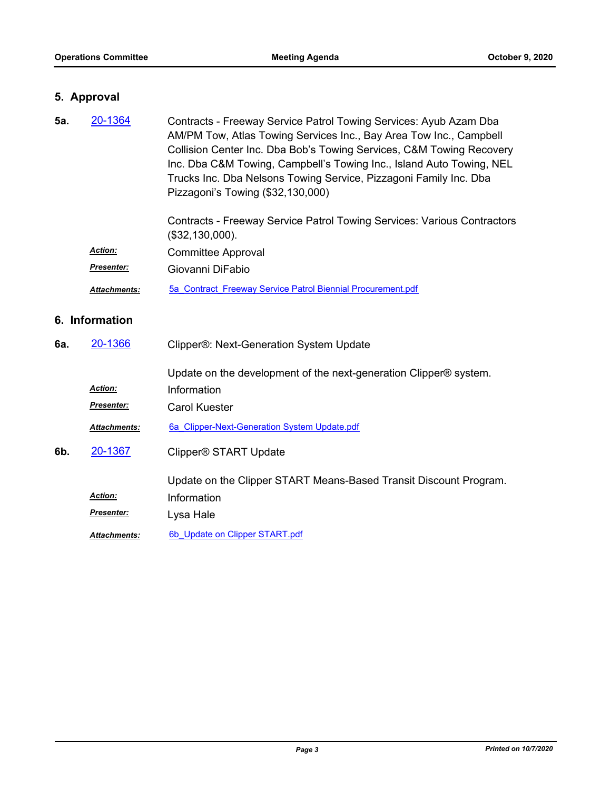### **5. Approval**

| 5а.            | 20-1364<br>Contracts - Freeway Service Patrol Towing Services: Ayub Azam Dba<br>AM/PM Tow, Atlas Towing Services Inc., Bay Area Tow Inc., Campbell<br>Collision Center Inc. Dba Bob's Towing Services, C&M Towing Recovery<br>Inc. Dba C&M Towing, Campbell's Towing Inc., Island Auto Towing, NEL<br>Trucks Inc. Dba Nelsons Towing Service, Pizzagoni Family Inc. Dba<br>Pizzagoni's Towing (\$32,130,000) |                                                                                            |
|----------------|--------------------------------------------------------------------------------------------------------------------------------------------------------------------------------------------------------------------------------------------------------------------------------------------------------------------------------------------------------------------------------------------------------------|--------------------------------------------------------------------------------------------|
|                |                                                                                                                                                                                                                                                                                                                                                                                                              | Contracts - Freeway Service Patrol Towing Services: Various Contractors<br>(\$32,130,000). |
|                | <b>Action:</b>                                                                                                                                                                                                                                                                                                                                                                                               | <b>Committee Approval</b>                                                                  |
|                | <b>Presenter:</b>                                                                                                                                                                                                                                                                                                                                                                                            | Giovanni DiFabio                                                                           |
|                | Attachments:                                                                                                                                                                                                                                                                                                                                                                                                 | 5a Contract Freeway Service Patrol Biennial Procurement.pdf                                |
| 6. Information |                                                                                                                                                                                                                                                                                                                                                                                                              |                                                                                            |
| 6а.            | 20-1366                                                                                                                                                                                                                                                                                                                                                                                                      | Clipper®: Next-Generation System Update                                                    |

Update on the development of the next-generation Clipper® system.

| Action: | Information |
|---------|-------------|
|         |             |

**Presenter: Carol Kuester** 

*Attachments:* [6a\\_Clipper-Next-Generation System Update.pdf](http://mtc.legistar.com/gateway.aspx?M=F&ID=8a741d4c-3fa4-452d-913f-18d6d5fe0476.pdf)

Clipper® START Update **6b.** [20-1367](http://mtc.legistar.com/gateway.aspx?m=l&id=/matter.aspx?key=21232)

Update on the Clipper START Means-Based Transit Discount Program.

*Action:* Information

*Presenter:* Lysa Hale

Attachments: 6b Update on Clipper START.pdf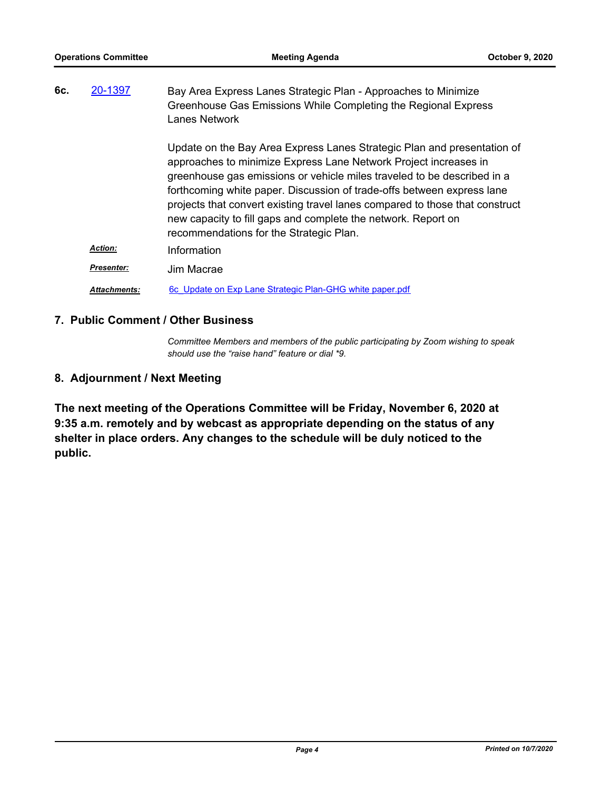| 20-1397<br>6c. |                     | Bay Area Express Lanes Strategic Plan - Approaches to Minimize<br>Greenhouse Gas Emissions While Completing the Regional Express<br>Lanes Network                                                                                                                                                                                                                                                                                                                                            |
|----------------|---------------------|----------------------------------------------------------------------------------------------------------------------------------------------------------------------------------------------------------------------------------------------------------------------------------------------------------------------------------------------------------------------------------------------------------------------------------------------------------------------------------------------|
|                |                     | Update on the Bay Area Express Lanes Strategic Plan and presentation of<br>approaches to minimize Express Lane Network Project increases in<br>greenhouse gas emissions or vehicle miles traveled to be described in a<br>forthcoming white paper. Discussion of trade-offs between express lane<br>projects that convert existing travel lanes compared to those that construct<br>new capacity to fill gaps and complete the network. Report on<br>recommendations for the Strategic Plan. |
|                | <b>Action:</b>      | Information                                                                                                                                                                                                                                                                                                                                                                                                                                                                                  |
|                | <b>Presenter:</b>   | Jim Macrae                                                                                                                                                                                                                                                                                                                                                                                                                                                                                   |
|                | <b>Attachments:</b> | 6c Update on Exp Lane Strategic Plan-GHG white paper.pdf                                                                                                                                                                                                                                                                                                                                                                                                                                     |

#### **7. Public Comment / Other Business**

*Committee Members and members of the public participating by Zoom wishing to speak should use the "raise hand" feature or dial \*9.*

#### **8. Adjournment / Next Meeting**

**The next meeting of the Operations Committee will be Friday, November 6, 2020 at 9:35 a.m. remotely and by webcast as appropriate depending on the status of any shelter in place orders. Any changes to the schedule will be duly noticed to the public.**